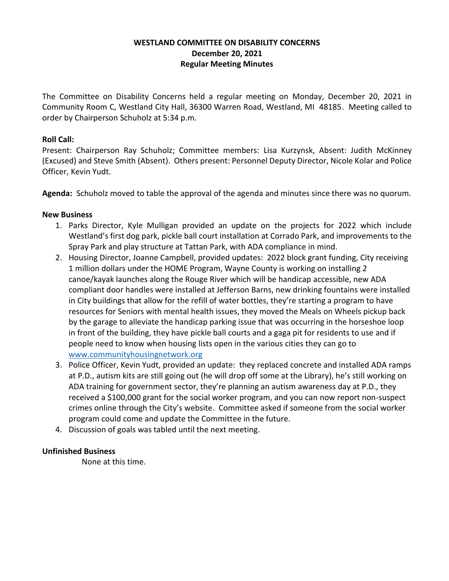# **WESTLAND COMMITTEE ON DISABILITY CONCERNS December 20, 2021 Regular Meeting Minutes**

The Committee on Disability Concerns held a regular meeting on Monday, December 20, 2021 in Community Room C, Westland City Hall, 36300 Warren Road, Westland, MI 48185. Meeting called to order by Chairperson Schuholz at 5:34 p.m.

## **Roll Call:**

Present: Chairperson Ray Schuholz; Committee members: Lisa Kurzynsk, Absent: Judith McKinney (Excused) and Steve Smith (Absent). Others present: Personnel Deputy Director, Nicole Kolar and Police Officer, Kevin Yudt.

**Agenda:** Schuholz moved to table the approval of the agenda and minutes since there was no quorum.

### **New Business**

- 1. Parks Director, Kyle Mulligan provided an update on the projects for 2022 which include Westland's first dog park, pickle ball court installation at Corrado Park, and improvements to the Spray Park and play structure at Tattan Park, with ADA compliance in mind.
- 2. Housing Director, Joanne Campbell, provided updates: 2022 block grant funding, City receiving 1 million dollars under the HOME Program, Wayne County is working on installing 2 canoe/kayak launches along the Rouge River which will be handicap accessible, new ADA compliant door handles were installed at Jefferson Barns, new drinking fountains were installed in City buildings that allow for the refill of water bottles, they're starting a program to have resources for Seniors with mental health issues, they moved the Meals on Wheels pickup back by the garage to alleviate the handicap parking issue that was occurring in the horseshoe loop in front of the building, they have pickle ball courts and a gaga pit for residents to use and if people need to know when housing lists open in the various cities they can go to [www.communityhousingnetwork.org](http://www.communityhousingnetwork.org/)
- 3. Police Officer, Kevin Yudt, provided an update: they replaced concrete and installed ADA ramps at P.D., autism kits are still going out (he will drop off some at the Library), he's still working on ADA training for government sector, they're planning an autism awareness day at P.D., they received a \$100,000 grant for the social worker program, and you can now report non-suspect crimes online through the City's website. Committee asked if someone from the social worker program could come and update the Committee in the future.
- 4. Discussion of goals was tabled until the next meeting.

### **Unfinished Business**

None at this time.